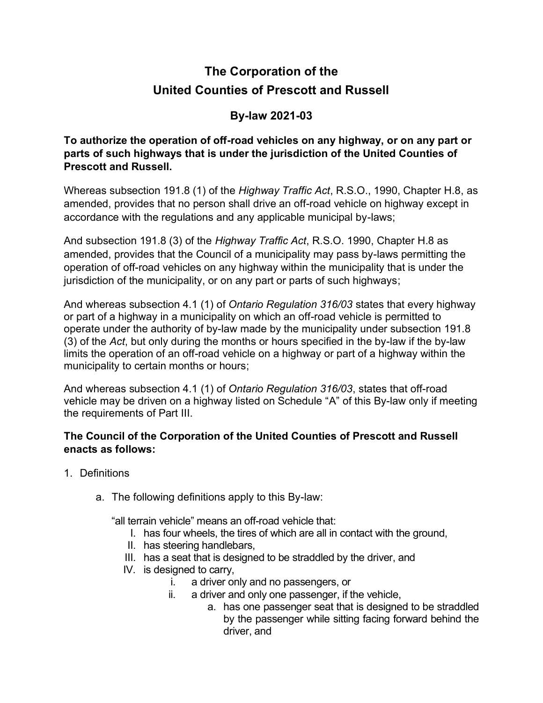## **The Corporation of the United Counties of Prescott and Russell**

## **By-law 2021-03**

**To authorize the operation of off-road vehicles on any highway, or on any part or parts of such highways that is under the jurisdiction of the United Counties of Prescott and Russell.**

Whereas subsection 191.8 (1) of the *Highway Traffic Act*, R.S.O., 1990, Chapter H.8, as amended, provides that no person shall drive an off-road vehicle on highway except in accordance with the regulations and any applicable municipal by-laws;

And subsection 191.8 (3) of the *Highway Traffic Act*, R.S.O. 1990, Chapter H.8 as amended, provides that the Council of a municipality may pass by-laws permitting the operation of off-road vehicles on any highway within the municipality that is under the jurisdiction of the municipality, or on any part or parts of such highways;

And whereas subsection 4.1 (1) of *Ontario Regulation 316/03* states that every highway or part of a highway in a municipality on which an off-road vehicle is permitted to operate under the authority of by-law made by the municipality under subsection 191.8 (3) of the *Act*, but only during the months or hours specified in the by-law if the by-law limits the operation of an off-road vehicle on a highway or part of a highway within the municipality to certain months or hours;

And whereas subsection 4.1 (1) of *Ontario Regulation 316/03*, states that off-road vehicle may be driven on a highway listed on Schedule "A" of this By-law only if meeting the requirements of Part III.

## **The Council of the Corporation of the United Counties of Prescott and Russell enacts as follows:**

- 1. Definitions
	- a. The following definitions apply to this By-law:

"all terrain vehicle" means an off-road vehicle that:

- I. has four wheels, the tires of which are all in contact with the ground,
- II. has steering handlebars,
- III. has a seat that is designed to be straddled by the driver, and
- IV. is designed to carry,
	- i. a driver only and no passengers, or
		- ii. a driver and only one passenger, if the vehicle,
			- a. has one passenger seat that is designed to be straddled by the passenger while sitting facing forward behind the driver, and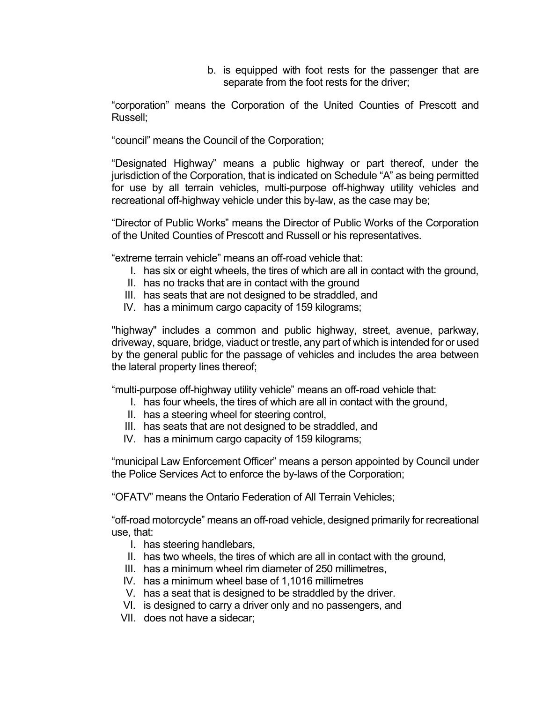b. is equipped with foot rests for the passenger that are separate from the foot rests for the driver;

"corporation" means the Corporation of the United Counties of Prescott and Russell;

"council" means the Council of the Corporation;

"Designated Highway" means a public highway or part thereof, under the jurisdiction of the Corporation, that is indicated on Schedule "A" as being permitted for use by all terrain vehicles, multi-purpose off-highway utility vehicles and recreational off-highway vehicle under this by-law, as the case may be;

"Director of Public Works" means the Director of Public Works of the Corporation of the United Counties of Prescott and Russell or his representatives.

"extreme terrain vehicle" means an off-road vehicle that:

- I. has six or eight wheels, the tires of which are all in contact with the ground,
- II. has no tracks that are in contact with the ground
- III. has seats that are not designed to be straddled, and
- IV. has a minimum cargo capacity of 159 kilograms;

"highway" includes a common and public highway, street, avenue, parkway, driveway, square, bridge, viaduct or trestle, any part of which is intended for or used by the general public for the passage of vehicles and includes the area between the lateral property lines thereof;

"multi-purpose off-highway utility vehicle" means an off-road vehicle that:

- I. has four wheels, the tires of which are all in contact with the ground,
- II. has a steering wheel for steering control,
- III. has seats that are not designed to be straddled, and
- IV. has a minimum cargo capacity of 159 kilograms;

"municipal Law Enforcement Officer" means a person appointed by Council under the Police Services Act to enforce the by-laws of the Corporation;

"OFATV" means the Ontario Federation of All Terrain Vehicles;

"off-road motorcycle" means an off-road vehicle, designed primarily for recreational use, that:

- I. has steering handlebars,
- II. has two wheels, the tires of which are all in contact with the ground,
- III. has a minimum wheel rim diameter of 250 millimetres,
- IV. has a minimum wheel base of 1,1016 millimetres
- V. has a seat that is designed to be straddled by the driver.
- VI. is designed to carry a driver only and no passengers, and
- VII. does not have a sidecar;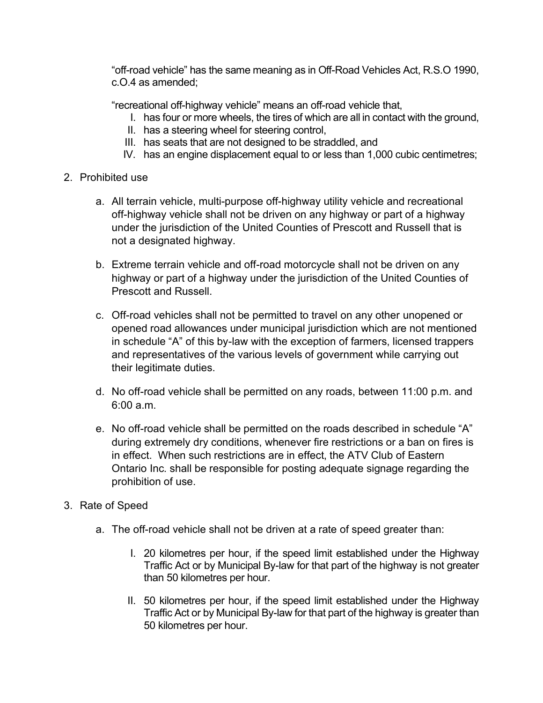"off-road vehicle" has the same meaning as in Off-Road Vehicles Act, R.S.O 1990, c.O.4 as amended;

"recreational off-highway vehicle" means an off-road vehicle that,

- I. has four or more wheels, the tires of which are all in contact with the ground,
- II. has a steering wheel for steering control,
- III. has seats that are not designed to be straddled, and
- IV. has an engine displacement equal to or less than 1,000 cubic centimetres;
- 2. Prohibited use
	- a. All terrain vehicle, multi-purpose off-highway utility vehicle and recreational off-highway vehicle shall not be driven on any highway or part of a highway under the jurisdiction of the United Counties of Prescott and Russell that is not a designated highway.
	- b. Extreme terrain vehicle and off-road motorcycle shall not be driven on any highway or part of a highway under the jurisdiction of the United Counties of Prescott and Russell.
	- c. Off-road vehicles shall not be permitted to travel on any other unopened or opened road allowances under municipal jurisdiction which are not mentioned in schedule "A" of this by-law with the exception of farmers, licensed trappers and representatives of the various levels of government while carrying out their legitimate duties.
	- d. No off-road vehicle shall be permitted on any roads, between 11:00 p.m. and 6:00 a.m.
	- e. No off-road vehicle shall be permitted on the roads described in schedule "A" during extremely dry conditions, whenever fire restrictions or a ban on fires is in effect. When such restrictions are in effect, the ATV Club of Eastern Ontario Inc. shall be responsible for posting adequate signage regarding the prohibition of use.
- 3. Rate of Speed
	- a. The off-road vehicle shall not be driven at a rate of speed greater than:
		- I. 20 kilometres per hour, if the speed limit established under the Highway Traffic Act or by Municipal By-law for that part of the highway is not greater than 50 kilometres per hour.
		- II. 50 kilometres per hour, if the speed limit established under the Highway Traffic Act or by Municipal By-law for that part of the highway is greater than 50 kilometres per hour.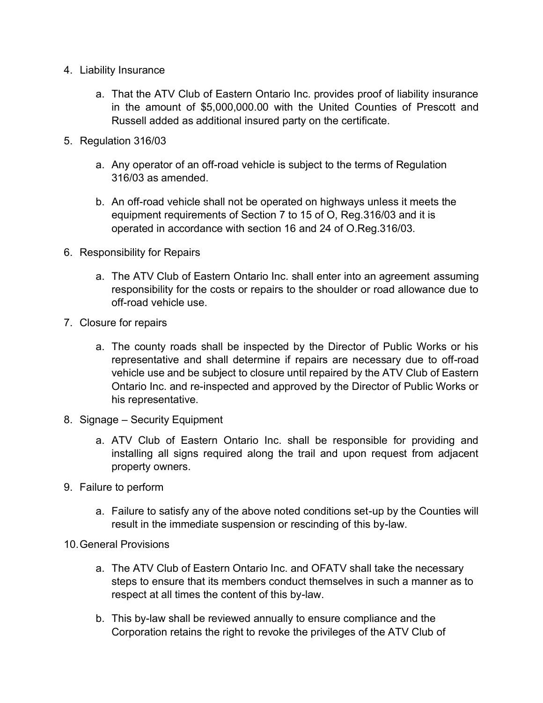- 4. Liability Insurance
	- a. That the ATV Club of Eastern Ontario Inc. provides proof of liability insurance in the amount of \$5,000,000.00 with the United Counties of Prescott and Russell added as additional insured party on the certificate.
- 5. Regulation 316/03
	- a. Any operator of an off-road vehicle is subject to the terms of Regulation 316/03 as amended.
	- b. An off-road vehicle shall not be operated on highways unless it meets the equipment requirements of Section 7 to 15 of O, Reg.316/03 and it is operated in accordance with section 16 and 24 of O.Reg.316/03.
- 6. Responsibility for Repairs
	- a. The ATV Club of Eastern Ontario Inc. shall enter into an agreement assuming responsibility for the costs or repairs to the shoulder or road allowance due to off-road vehicle use.
- 7. Closure for repairs
	- a. The county roads shall be inspected by the Director of Public Works or his representative and shall determine if repairs are necessary due to off-road vehicle use and be subject to closure until repaired by the ATV Club of Eastern Ontario Inc. and re-inspected and approved by the Director of Public Works or his representative.
- 8. Signage Security Equipment
	- a. ATV Club of Eastern Ontario Inc. shall be responsible for providing and installing all signs required along the trail and upon request from adjacent property owners.
- 9. Failure to perform
	- a. Failure to satisfy any of the above noted conditions set-up by the Counties will result in the immediate suspension or rescinding of this by-law.
- 10. General Provisions
	- a. The ATV Club of Eastern Ontario Inc. and OFATV shall take the necessary steps to ensure that its members conduct themselves in such a manner as to respect at all times the content of this by-law.
	- b. This by-law shall be reviewed annually to ensure compliance and the Corporation retains the right to revoke the privileges of the ATV Club of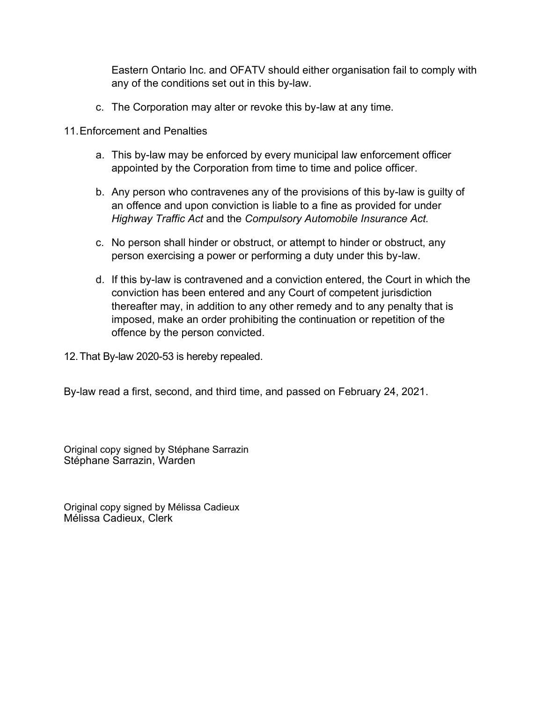Eastern Ontario Inc. and OFATV should either organisation fail to comply with any of the conditions set out in this by-law.

- c. The Corporation may alter or revoke this by-law at any time.
- 11. Enforcement and Penalties
	- a. This by-law may be enforced by every municipal law enforcement officer appointed by the Corporation from time to time and police officer.
	- b. Any person who contravenes any of the provisions of this by-law is guilty of an offence and upon conviction is liable to a fine as provided for under *Highway Traffic Act* and the *Compulsory Automobile Insurance Act.*
	- c. No person shall hinder or obstruct, or attempt to hinder or obstruct, any person exercising a power or performing a duty under this by-law.
	- d. If this by-law is contravened and a conviction entered, the Court in which the conviction has been entered and any Court of competent jurisdiction thereafter may, in addition to any other remedy and to any penalty that is imposed, make an order prohibiting the continuation or repetition of the offence by the person convicted.
- 12. That By-law 2020-53 is hereby repealed.

By-law read a first, second, and third time, and passed on February 24, 2021.

Original copy signed by Stéphane Sarrazin Stéphane Sarrazin, Warden

Original copy signed by Mélissa Cadieux Mélissa Cadieux, Clerk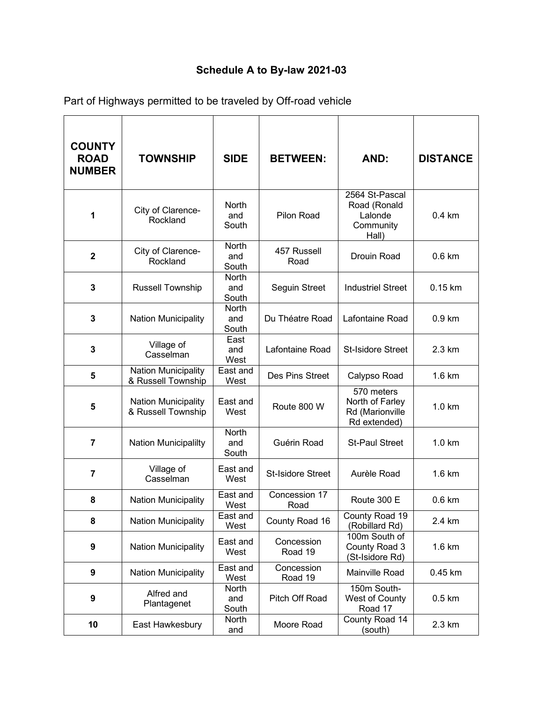## **Schedule A to By-law 2021-03**

| <b>COUNTY</b><br><b>ROAD</b><br><b>NUMBER</b> | <b>TOWNSHIP</b>                                  | <b>SIDE</b>                  | <b>BETWEEN:</b>          | AND:                                                             | <b>DISTANCE</b>  |
|-----------------------------------------------|--------------------------------------------------|------------------------------|--------------------------|------------------------------------------------------------------|------------------|
| 1                                             | City of Clarence-<br>Rockland                    | <b>North</b><br>and<br>South | Pilon Road               | 2564 St-Pascal<br>Road (Ronald<br>Lalonde<br>Community<br>Hall)  | $0.4 \text{ km}$ |
| $\mathbf 2$                                   | City of Clarence-<br>Rockland                    | <b>North</b><br>and<br>South | 457 Russell<br>Road      | Drouin Road                                                      | $0.6$ km         |
| 3                                             | <b>Russell Township</b>                          | North<br>and<br>South        | Seguin Street            | <b>Industriel Street</b>                                         | $0.15$ km        |
| 3                                             | <b>Nation Municipality</b>                       | <b>North</b><br>and<br>South | Du Théatre Road          | Lafontaine Road                                                  | 0.9 km           |
| 3                                             | Village of<br>Casselman                          | East<br>and<br>West          | Lafontaine Road          | <b>St-Isidore Street</b>                                         | 2.3 km           |
| 5                                             | <b>Nation Municipality</b><br>& Russell Township | East and<br>West             | Des Pins Street          | Calypso Road                                                     | 1.6 km           |
| 5                                             | Nation Municipality<br>& Russell Township        | East and<br>West             | Route 800 W              | 570 meters<br>North of Farley<br>Rd (Marionville<br>Rd extended) | 1.0 km           |
| $\overline{7}$                                | <b>Nation Municipalilty</b>                      | North<br>and<br>South        | Guérin Road              | <b>St-Paul Street</b>                                            | 1.0 km           |
| $\overline{7}$                                | Village of<br>Casselman                          | East and<br>West             | <b>St-Isidore Street</b> | Aurèle Road                                                      | 1.6 km           |
| 8                                             | <b>Nation Municipality</b>                       | East and<br>West             | Concession 17<br>Road    | Route 300 E                                                      | $0.6$ km         |
| 8                                             | <b>Nation Municipality</b>                       | East and<br>West             | County Road 16           | County Road 19<br>(Robillard Rd)                                 | 2.4 km           |
| 9                                             | <b>Nation Municipality</b>                       | East and<br>West             | Concession<br>Road 19    | 100m South of<br>County Road 3<br>(St-Isidore Rd)                | 1.6 km           |
| 9                                             | <b>Nation Municipality</b>                       | East and<br>West             | Concession<br>Road 19    | Mainville Road                                                   | $0.45$ km        |
| $\boldsymbol{9}$                              | Alfred and<br>Plantagenet                        | North<br>and<br>South        | Pitch Off Road           | 150m South-<br>West of County<br>Road 17                         | $0.5 \text{ km}$ |
| 10                                            | East Hawkesbury                                  | North<br>and                 | Moore Road               | County Road 14<br>(south)                                        | 2.3 km           |

Part of Highways permitted to be traveled by Off-road vehicle